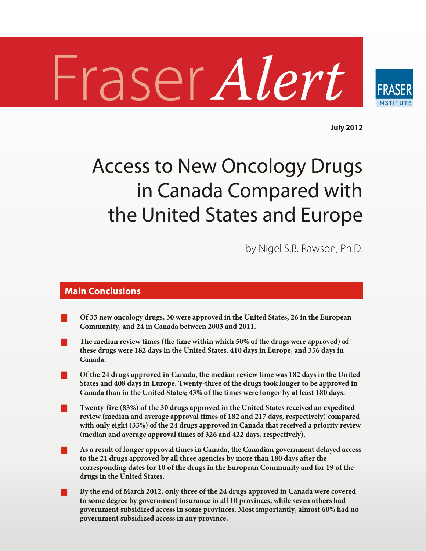# Fraser Alert



**July 2012**

# Access to New Oncology Drugs in Canada Compared with the United States and Europe

by Nigel S.B. Rawson, Ph.D.

### **Main Conclusions**

- Of 33 new oncology drugs, 30 were approved in the United States, 26 in the European Community, and 24 in Canada between 2003 and 2011.
- ð **The median review times (the time within which 50% of the drugs were approved) of these drugs were 182 days in the United States, 410 days in Europe, and 356 days in** Canada.
- ð **Of the 24 drugs approved in Can ada, the median review time was 182 days in the United States and 408 days in Europe. Twenty-three of the drugs took longer to be approved in Can ada than in the United States; 43% of the times were lon ger by at least 180 days.**
- Twenty-five (83%) of the 30 drugs approved in the United States received an expedited review (median and average approval times of 182 and 217 days, respectively) compared with only eight (33%) of the 24 drugs approved in Canada that received a priority review (median and average approval times of 326 and 422 days, respectively).
- ð **As a result of longer approval times in Can ada, the Cana dian gov ern ment delayed access to the 21 drugs approved by all three agen cies by more than 180 days after the** corresponding dates for 10 of the drugs in the European Community and for 19 of the **drugs in the United States.**
- ð **By the end of March 2012, only three of the 24 drugs approved in Canada were covered to some degree by government insurance in all 10 provinces, while seven others had government subsidized access in some provinces. Most importantly, almost 60% had no government subsidized access in any province.**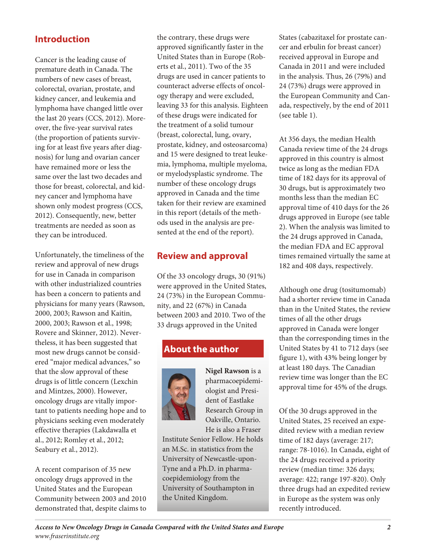# **Introduction**

Cancer is the leading cause of premature death in Canada. The numbers of new cases of breast, colorectal, ovarian, prostate, and kidney cancer, and leukemia and lymphoma have changed little over the last 20 years (CCS, 2012). Moreover, the five-year survival rates (the proportion of patients surviving for at least five years after diagnosis) for lung and ovarian cancer have remained more or less the same over the last two decades and those for breast, colorectal, and kidney cancer and lymphoma have shown only modest progress (CCS, 2012). Consequently, new, better treatments are needed as soon as they can be introduced.

Unfortunately, the timeliness of the review and approval of new drugs for use in Canada in comparison with other industrialized countries has been a concern to patients and physicians for many years (Rawson, 2000, 2003; Rawson and Kaitin, 2000, 2003; Rawson et al., 1998; Rovere and Skinner, 2012). Nevertheless, it has been suggested that most new drugs cannot be considered "major medical advances," so that the slow approval of these drugs is of little concern (Lexchin and Mintzes, 2000). However, oncology drugs are vitally important to patients needing hope and to physicians seeking even moderately effective therapies (Lakdawalla et al., 2012; Romley et al., 2012; Seabury et al., 2012).

A recent comparison of 35 new oncology drugs approved in the United States and the European Community between 2003 and 2010 demonstrated that, despite claims to the contrary, these drugs were approved significantly faster in the United States than in Europe (Rob erts et al., 2011). Two of the 35 drugs are used in cancer patients to counteract adverse effects of oncology therapy and were excluded, leaving 33 for this analysis. Eighteen of these drugs were indicated for the treatment of a solid tumour (breast, colorectal, lung, ovary, prostate, kidney, and osteosarcoma) and 15 were designed to treat leukemia, lymphoma, multiple myeloma, or myelodysplastic syn drome. The number of these oncology drugs approved in Canada and the time taken for their review are examined in this report (details of the methods used in the analysis are presented at the end of the report).

# **Review and approval**

Of the 33 oncology drugs,  $30(91\%)$ were approved in the United States, 24 (73%) in the European Community, and 22 (67%) in Canada between 2003 and 2010. Two of the 33 drugs approved in the United

# **About the author**



**Nigel Rawson** is a pharmacoepidemiologist and President of Eastlake Research Group in Oakville, Ontario. He is also a Fraser

Institute Senior Fellow. He holds an M.Sc. in statistics from the University of Newcastle-upon-Tyne and a Ph.D. in pharmacoepidemiology from the University of Southampton in the United Kingdom.

States (cabazitaxel for prostate cancer and erbulin for breast cancer) received approval in Europe and Canada in 2011 and were included in the analysis. Thus, 26 (79%) and 24 (73%) drugs were approved in the European Community and Canada, respectively, by the end of 2011 (see table 1).

At 356 days, the median Health Canada review time of the 24 drugs approved in this country is almost twice as long as the median FDA time of 182 days for its approval of 30 drugs, but is approximately two months less than the median EC approval time of 410 days for the 26 drugs approved in Europe (see table 2). When the analysis was limited to the 24 drugs approved in Canada, the median FDA and EC approval times remained virtually the same at 182 and 408 days, respectively.

Although one drug (tositumomab) had a shorter review time in Canada than in the United States, the review times of all the other drugs approved in Canada were longer than the corresponding times in the United States by 41 to 712 days (see figure 1), with 43% being longer by at least 180 days. The Canadian review time was longer than the EC approval time for 45% of the drugs.

Of the 30 drugs approved in the United States, 25 received an expe dited review with a median review time of 182 days (average: 217; range: 78-1016). In Canada, eight of the 24 drugs received a priority review (median time: 326 days; average: 422; range 197-820). Only three drugs had an expedited review in Europe as the system was only recently introduced.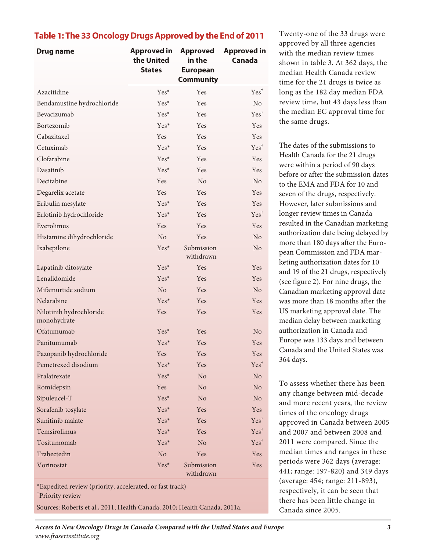### **Table 1: The 33 Oncology Drugs Approved by the End of 2011**

| Drug name                              | <b>Approved in</b><br>the United<br><b>States</b> | <b>Approved</b><br>in the<br><b>European</b><br><b>Community</b> | <b>Approved in</b><br><b>Canada</b> |
|----------------------------------------|---------------------------------------------------|------------------------------------------------------------------|-------------------------------------|
| Azacitidine                            | Yes*                                              | Yes                                                              | $Yes^{\dagger}$                     |
| Bendamustine hydrochloride             | $Yes^*$                                           | Yes                                                              | No                                  |
| Bevacizumab                            | Yes*                                              | <b>Yes</b>                                                       | $Yes^{\dagger}$                     |
| Bortezomib                             | $Yes*$                                            | Yes                                                              | Yes                                 |
| Cabazitaxel                            | Yes                                               | Yes                                                              | Yes                                 |
| Cetuximab                              | $Yes^*$                                           | Yes                                                              | $Yes^{\dagger}$                     |
| Clofarabine                            | $Yes^*$                                           | Yes                                                              | Yes                                 |
| Dasatinib                              | $Yes^*$                                           | Yes                                                              | Yes                                 |
| Decitabine                             | Yes                                               | N <sub>o</sub>                                                   | N <sub>o</sub>                      |
| Degarelix acetate                      | Yes                                               | Yes                                                              | Yes                                 |
| Eribulin mesylate                      | $Yes^*$                                           | <b>Yes</b>                                                       | Yes                                 |
| Erlotinib hydrochloride                | $Yes^*$                                           | Yes                                                              | $Yes^{\dagger}$                     |
| Everolimus                             | Yes                                               | Yes                                                              | Yes                                 |
| Histamine dihydrochloride              | N <sub>o</sub>                                    | Yes                                                              | N <sub>o</sub>                      |
| Ixabepilone                            | $Yes^*$                                           | Submission<br>withdrawn                                          | No                                  |
| Lapatinib ditosylate                   | $Yes^*$                                           | Yes                                                              | Yes                                 |
| Lenalidomide                           | $Yes^*$                                           | Yes                                                              | Yes                                 |
| Mifamurtide sodium                     | N <sub>o</sub>                                    | Yes                                                              | N <sub>o</sub>                      |
| Nelarabine                             | Yes*                                              | Yes                                                              | Yes                                 |
| Nilotinib hydrochloride<br>monohydrate | Yes                                               | Yes                                                              | Yes                                 |
| Ofatumumab                             | $Yes^*$                                           | Yes                                                              | No                                  |
| Panitumumab                            | $Yes*$                                            | Yes                                                              | Yes                                 |
| Pazopanib hydrochloride                | Yes                                               | Yes                                                              | Yes                                 |
| Pemetrexed disodium                    | Yes*                                              | Yes                                                              | $Yes^{\dagger}$                     |
| Pralatrexate                           | Yes*                                              | No                                                               | No                                  |
| Romidepsin                             | Yes                                               | No                                                               | No                                  |
| Sipuleucel-T                           | Yes*                                              | No                                                               | N <sub>o</sub>                      |
| Sorafenib tosylate                     | Yes*                                              | Yes                                                              | Yes                                 |
| Sunitinib malate                       | Yes*                                              | Yes                                                              | $Yes^{\dagger}$                     |
| Temsirolimus                           | Yes*                                              | Yes                                                              | $Yes^{\dagger}$                     |
| Tositumomab                            | Yes*                                              | No                                                               | $Yes^{\dagger}$                     |
| Trabectedin                            | No                                                | Yes                                                              | Yes                                 |
| Vorinostat                             | Yes*                                              | Submission<br>withdrawn                                          | Yes                                 |

\*Expedited review (priority, accelerated, or fast track) †Priority review

Sources: Roberts et al., 2011; Health Canada, 2010; Health Canada, 2011a.

Twenty-one of the 33 drugs were approved by all three agencies with the median review times shown in table 3. At 362 days, the median Health Canada review time for the 21 drugs is twice as long as the 182 day median FDA review time, but 43 days less than the median EC approval time for the same drugs.

The dates of the submissions to Health Canada for the 21 drugs were within a period of 90 days before or after the submission dates to the EMA and FDA for 10 and seven of the drugs, respectively. However, later submissions and longer review times in Canada resulted in the Canadian marketing authorization date being delayed by more than 180 days after the European Commission and FDA marketing authorization dates for 10 and 19 of the 21 drugs, respectively (see figure 2). For nine drugs, the Canadian marketing approval date was more than 18 months after the US marketing approval date. The median delay between marketing authorization in Canada and Europe was 133 days and between Canada and the United States was 364 days.

To assess whether there has been any change between mid-decade and more recent years, the review times of the oncology drugs approved in Canada between 2005 and 2007 and between 2008 and 2011 were compared. Since the median times and ranges in these periods were 362 days (average: 441; range: 197-820) and 349 days (average: 454; range: 211-893), respectively, it can be seen that there has been little change in Canada since 2005.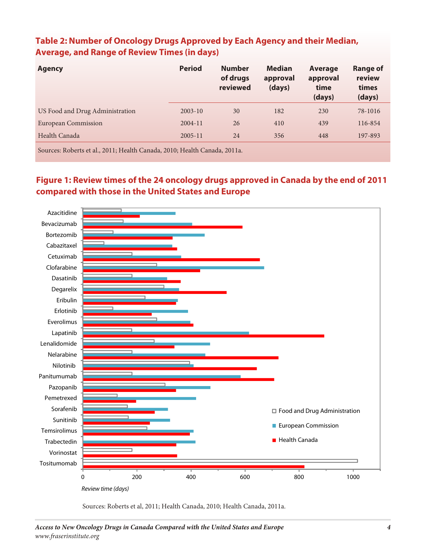## **Table 2: Number of Oncology Drugs Approved by Each Agency and their Median, Average, and Range of Review Times (in days)**

| <b>Agency</b>                                                             | <b>Period</b> | <b>Number</b><br>of drugs<br>reviewed | <b>Median</b><br>approval<br>(days) | Average<br>approval<br>time<br>(days) | <b>Range of</b><br>review<br>times<br>(days) |  |
|---------------------------------------------------------------------------|---------------|---------------------------------------|-------------------------------------|---------------------------------------|----------------------------------------------|--|
| US Food and Drug Administration                                           | $2003 - 10$   | 30                                    | 182                                 | 230                                   | 78-1016                                      |  |
| European Commission                                                       | $2004 - 11$   | 26                                    | 410                                 | 439                                   | 116-854                                      |  |
| Health Canada                                                             | $2005 - 11$   | 24                                    | 356                                 | 448                                   | 197-893                                      |  |
| Sources: Roberts et al., 2011; Health Canada, 2010; Health Canada, 2011a. |               |                                       |                                     |                                       |                                              |  |

# Figure 1: Review times of the 24 oncology drugs approved in Canada by the end of 2011 **com pared with those in the United States and Europe**



Sources: Roberts et al, 2011; Health Canada, 2010; Health Canada, 2011a.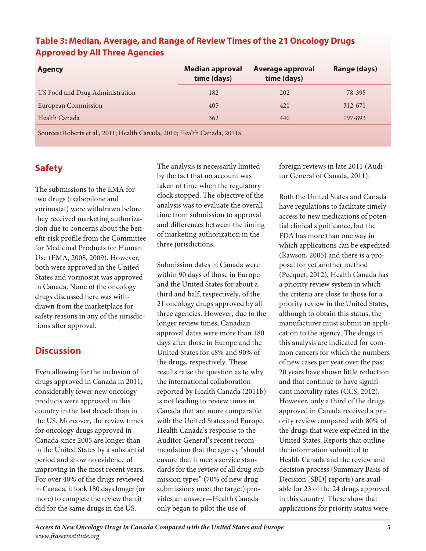| <b>Agency</b>                   | <b>Median approval</b><br>time (days) | Average approval<br>time (days) | Range (days) |
|---------------------------------|---------------------------------------|---------------------------------|--------------|
| US Food and Drug Administration | 182                                   | 202                             | 78-395       |
| European Commission             | 405                                   | 421                             | 312-671      |
| Health Canada                   | 362                                   | 440                             | 197-893      |
|                                 |                                       |                                 |              |

### **Table 3: Median, Average, and Range of Review Times of the 21 Oncology Drugs Approved by All Three Agencies**

Sources: Roberts et al., 2011; Health Canada, 2010; Health Canada, 2011a.

# **Safety**

The submissions to the EMA for two drugs (ixabepilone and vorinostat) were withdrawn before they received marketing authorization due to concerns about the benefit-risk profile from the Committee for Medicinal Products for Human Use (EMA, 2008, 2009). However, both were approved in the United States and vorinostat was approved in Canada. None of the oncology drugs discussed here was withdrawn from the marketplace for safety reasons in any of the jurisdictions after approval.

### **Dis cus sion**

Even allowing for the inclusion of drugs approved in Canada in 2011, considerably fewer new oncology products were approved in this country in the last decade than in the US. Moreover, the review times for oncology drugs approved in Canada since 2005 are longer than in the United States by a substantial period and show no evidence of improving in the most recent years. For over 40% of the drugs reviewed in Canada, it took 180 days longer (or more) to complete the review than it did for the same drugs in the US.

The analysis is necessarily limited by the fact that no account was taken of time when the regulatory clock stopped. The objective of the analysis was to evaluate the overall time from submission to approval and differences between the timing of marketing authorization in the three jurisdictions.

Submission dates in Canada were within 90 days of those in Europe and the United States for about a third and half, respectively, of the 21 oncology drugs approved by all three agencies. However, due to the longer review times, Canadian approval dates were more than 180 days after those in Europe and the United States for 48% and 90% of the drugs, respectively. These results raise the question as to why the international collaboration reported by Health Canada (2011b) is not leading to review times in Canada that are more comparable with the United States and Europe. Health Canada's response to the Auditor General's recent recommendation that the agency "should" ensure that it meets service standards for the review of all drug sub mission types" (70% of new drug submissions meet the target) provides an answer—Health Canada only began to pilot the use of

foreign reviews in late 2011 (Auditor General of Canada, 2011).

Both the United States and Canada have regulations to facilitate timely access to new medications of potential clinical significance, but the FDA has more than one way in which applications can be expedited (Rawson, 2005) and there is a proposal for yet another method (Pecquet, 2012). Health Canada has a priority review system in which the criteria are close to those for a priority review in the United States, although to obtain this status, the manufacturer must submit an application to the agency. The drugs in this analysis are indicated for common cancers for which the numbers of new cases per year over the past 20 years have shown little reduction and that continue to have significant mortality rates (CCS, 2012). However, only a third of the drugs approved in Canada received a priority review compared with 80% of the drugs that were expedited in the United States. Reports that outline the information submitted to Health Canada and the review and decision process (Summary Basis of Decision [SBD] reports) are available for 23 of the 24 drugs approved in this country. These show that applications for priority status were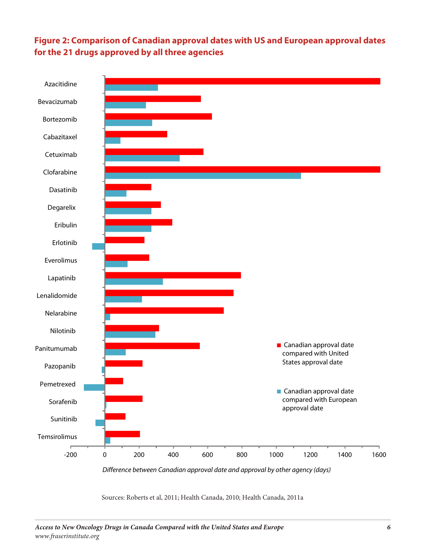# **Figure 2: Comparison of Canadian approval dates with US and European approval dates for the 21 drugs approved by all three agencies**



*Difference between Canadian approval date and approval by other agency (days)*

Sources: Roberts et al, 2011; Health Canada, 2010; Health Canada, 2011a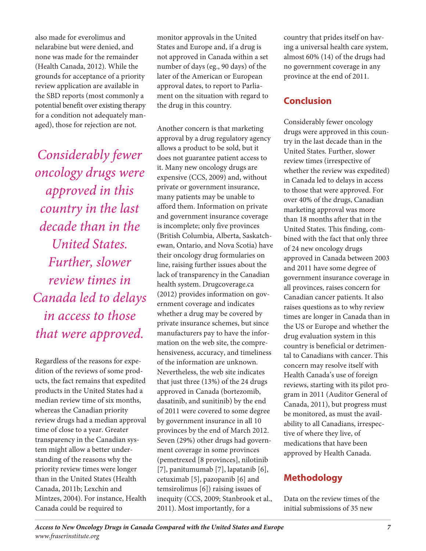also made for everolimus and nelarabine but were denied, and none was made for the remainder (Health Canada, 2012). While the grounds for acceptance of a priority review application are available in the SBD reports (most commonly a potential benefit over existing therapy for a condition not adequately managed), those for rejection are not.

*Con sid er ably fewer oncology drugs were approved in this coun try in the last decade than in the United States.* Further, slower *review times in Can ada led to delays in access to those that were approved.*

Regardless of the reasons for expedition of the reviews of some products, the fact remains that expedited products in the United States had a median review time of six months, whereas the Canadian priority review drugs had a median approval time of close to a year. Greater transparency in the Canadian system might allow a better understanding of the reasons why the priority review times were longer than in the United States (Health Canada, 2011b; Lexchin and Mintzes, 2004). For instance, Health Canada could be required to

monitor approvals in the United States and Europe and, if a drug is not approved in Canada within a set num ber of days (eg., 90 days) of the later of the American or European approval dates, to report to Parliament on the situation with regard to the drug in this country.

Another concern is that marketing approval by a drug regulatory agency allows a product to be sold, but it does not guarantee patient access to it. Many new oncology drugs are expensive (CCS, 2009) and, without private or government insurance, many patients may be unable to afford them. Information on private and government insurance coverage is incomplete; only five provinces (British Columbia, Alberta, Saskatchewan, Ontario, and Nova Scotia) have their oncology drug for mularies on line, raising further issues about the lack of transparency in the Canadian health system. Drugcoverage.ca (2012) provides information on government coverage and indicates whether a drug may be covered by private insurance schemes, but since manufacturers pay to have the information on the web site, the comprehen siveness, accuracy, and timeliness of the information are unknown. Nevertheless, the web site indicates that just three (13%) of the 24 drugs approved in Canada (bortezomib, dasatinib, and sunitinib) by the end of 2011 were covered to some degree by government insurance in all 10 provinces by the end of March 2012. Seven (29%) other drugs had government coverage in some provinces (pemetrexed [8 provinces], nilotinib [7], panitumumab [7], lapatanib [6], cetuximab [5], pazopanib [6] and temsirolimus [6]) raising issues of inequity (CCS, 2009; Stanbrook et al., 2011). Most importantly, for a

country that prides itself on having a universal health care system, almost 60% (14) of the drugs had no government coverage in any province at the end of 2011.

# **Con clu sion**

Considerably fewer oncology drugs were approved in this country in the last decade than in the United States. Further, slower review times (irrespective of whether the review was expedited) in Canada led to delays in access to those that were approved. For over 40% of the drugs, Canadian marketing approval was more than 18 months after that in the United States. This finding, combined with the fact that only three of 24 new oncology drugs approved in Canada between 2003 and 2011 have some degree of government insurance coverage in all provinces, raises concern for Canadian cancer patients. It also raises questions as to why review times are longer in Canada than in the US or Europe and whether the drug evaluation system in this country is beneficial or detrimental to Canadians with cancer. This concern may resolve itself with Health Canada's use of foreign reviews, starting with its pilot program in 2011 (Auditor General of Canada, 2011), but progress must be monitored, as must the availability to all Canadians, irrespective of where they live, of medications that have been approved by Health Canada.

# **Meth od ol ogy**

Data on the review times of the initial submissions of 35 new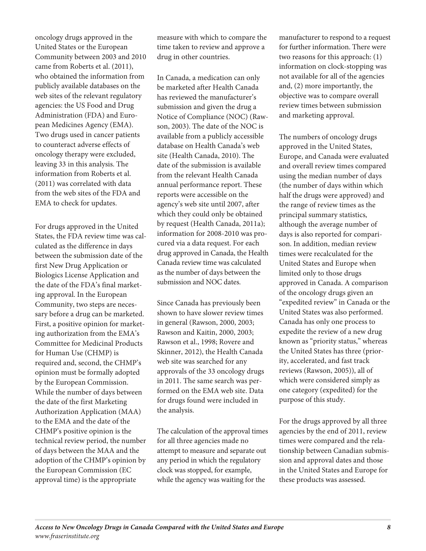oncology drugs approved in the United States or the European Community between 2003 and 2010 came from Roberts et al. (2011), who obtained the information from publicly available databases on the web sites of the relevant regulatory agencies: the US Food and Drug Administration (FDA) and European Medicines Agency (EMA). Two drugs used in cancer patients to counteract adverse effects of oncology therapy were excluded, leaving 33 in this analysis. The information from Roberts et al.  $(2011)$  was correlated with data from the web sites of the FDA and EMA to check for updates.

For drugs approved in the United States, the FDA review time was calculated as the difference in days between the submission date of the first New Drug Application or Biologics License Application and the date of the FDA's final marketing approval. In the European Community, two steps are necessary before a drug can be marketed. First, a positive opinion for marketing authorization from the EMA's Committee for Medicinal Products for Human Use (CHMP) is required and, second, the CHMP's opinion must be formally adopted by the European Commission. While the number of days between the date of the first Marketing Authorization Application (MAA) to the EMA and the date of the CHMP's positive opinion is the technical review period, the number of days between the MAA and the adoption of the CHMP's opinion by the European Commission (EC approval time) is the appropriate

measure with which to compare the time taken to review and approve a drug in other countries.

In Canada, a medication can only be marketed after Health Canada has reviewed the manufacturer's submission and given the drug a Notice of Compliance (NOC) (Rawson, 2003). The date of the NOC is available from a publicly accessible database on Health Canada's web site (Health Canada, 2010). The date of the submission is available from the relevant Health Canada annual performance report. These reports were accessible on the agency's web site until 2007, after which they could only be obtained by request (Health Canada, 2011a); information for 2008-2010 was procured via a data request. For each drug approved in Canada, the Health Canada review time was calculated as the number of days between the submission and NOC dates.

Since Canada has previously been shown to have slower review times in general (Rawson, 2000, 2003; Rawson and Kaitin, 2000, 2003; Rawson et al., 1998; Rovere and Skinner, 2012), the Health Canada web site was searched for any approvals of the 33 oncology drugs in 2011. The same search was performed on the EMA web site. Data for drugs found were included in the analysis.

The calculation of the approval times for all three agencies made no attempt to measure and separate out any period in which the regulatory clock was stopped, for example, while the agency was waiting for the

manufacturer to respond to a request for further information. There were two reasons for this approach: (1) information on clock-stopping was not available for all of the agencies and,  $(2)$  more importantly, the objective was to compare overall review times between submission and marketing approval.

The numbers of oncology drugs approved in the United States, Europe, and Canada were evaluated and overall review times compared using the median number of days (the number of days within which half the drugs were approved) and the range of review times as the principal summary statistics, although the average number of days is also reported for comparison. In addition, median review times were recalculated for the United States and Europe when lim ited only to those drugs approved in Canada. A comparison of the oncology drugs given an "expedited review" in Canada or the United States was also performed. Canada has only one process to expedite the review of a new drug known as "priority status," whereas the United States has three (priority, accelerated, and fast track reviews (Rawson, 2005)), all of which were considered simply as one category (expedited) for the purpose of this study.

For the drugs approved by all three agencies by the end of 2011, review times were compared and the relationship between Canadian submission and approval dates and those in the United States and Europe for these products was assessed.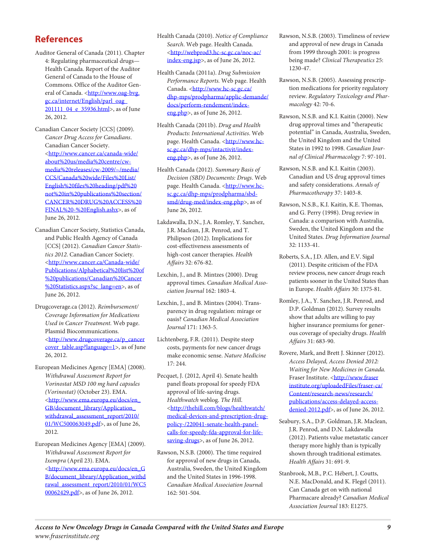### **Ref er ences**

- Auditor General of Canada (2011). Chapter 4: Regulating pharmaceutical drugs-Health Canada. Report of the Auditor General of Canada to the House of Commons. Office of the Auditor Gen-eral of Canada. [<http://www.oag-bvg.](http://www.oag-bvg.gc.ca/internet/English/parl_oag_201111_04_e_35936.html) [gc.ca/internet/English/parl\\_oag\\_](http://www.oag-bvg.gc.ca/internet/English/parl_oag_201111_04_e_35936.html) [201111\\_04\\_e\\_35936.html](http://www.oag-bvg.gc.ca/internet/English/parl_oag_201111_04_e_35936.html)>, as of June 26, 2012.
- Canadian Cancer Society [CCS] (2009). *Can cer Drug Access for Cana di ans*. Canadian Cancer Society. [<http://www.cancer.ca/canada-wide/](http://www.cancer.ca/canada-wide/about%20us/media%20centre/cw-media%20releases/cw-2009/~/media/CCS/Canada%20wide/Files%20List/English%20files%20heading/pdf%20not%20in%20publications%20section/CANCER%20DRUG%20ACCESS%20FINAL%20-%20English.ashx) [about%20us/media%20centre/cw](http://www.cancer.ca/canada-wide/about%20us/media%20centre/cw-media%20releases/cw-2009/~/media/CCS/Canada%20wide/Files%20List/English%20files%20heading/pdf%20not%20in%20publications%20section/CANCER%20DRUG%20ACCESS%20FINAL%20-%20English.ashx)[media%20releases/cw-2009/~/media/](http://www.cancer.ca/canada-wide/about%20us/media%20centre/cw-media%20releases/cw-2009/~/media/CCS/Canada%20wide/Files%20List/English%20files%20heading/pdf%20not%20in%20publications%20section/CANCER%20DRUG%20ACCESS%20FINAL%20-%20English.ashx) [CCS/Canada%20wide/Files%20List/](http://www.cancer.ca/canada-wide/about%20us/media%20centre/cw-media%20releases/cw-2009/~/media/CCS/Canada%20wide/Files%20List/English%20files%20heading/pdf%20not%20in%20publications%20section/CANCER%20DRUG%20ACCESS%20FINAL%20-%20English.ashx) [English%20files%20heading/pdf%20](http://www.cancer.ca/canada-wide/about%20us/media%20centre/cw-media%20releases/cw-2009/~/media/CCS/Canada%20wide/Files%20List/English%20files%20heading/pdf%20not%20in%20publications%20section/CANCER%20DRUG%20ACCESS%20FINAL%20-%20English.ashx) [not%20in%20publications%20section/](http://www.cancer.ca/canada-wide/about%20us/media%20centre/cw-media%20releases/cw-2009/~/media/CCS/Canada%20wide/Files%20List/English%20files%20heading/pdf%20not%20in%20publications%20section/CANCER%20DRUG%20ACCESS%20FINAL%20-%20English.ashx) [CANCER%20DRUG%20ACCESS%20](http://www.cancer.ca/canada-wide/about%20us/media%20centre/cw-media%20releases/cw-2009/~/media/CCS/Canada%20wide/Files%20List/English%20files%20heading/pdf%20not%20in%20publications%20section/CANCER%20DRUG%20ACCESS%20FINAL%20-%20English.ashx) [FINAL%20-%20English.ashx](http://www.cancer.ca/canada-wide/about%20us/media%20centre/cw-media%20releases/cw-2009/~/media/CCS/Canada%20wide/Files%20List/English%20files%20heading/pdf%20not%20in%20publications%20section/CANCER%20DRUG%20ACCESS%20FINAL%20-%20English.ashx)>, as of June 26, 2012.
- Canadian Cancer Society, Statistics Canada, and Public Health Agency of Canada [CCS] (2012). *Canadian Cancer Statis*tics 2012. Canadian Cancer Society. [<http://www.cancer.ca/Canada-wide/](http://www.cancer.ca/Canada-wide/Publications/Alphabetical%20list%20of%20publications/Canadian%20Cancer%20Statistics.aspx?sc_lang=en) [Publications/Alphabetical%20list%20of](http://www.cancer.ca/Canada-wide/Publications/Alphabetical%20list%20of%20publications/Canadian%20Cancer%20Statistics.aspx?sc_lang=en) [%20publications/Canadian%20Cancer](http://www.cancer.ca/Canada-wide/Publications/Alphabetical%20list%20of%20publications/Canadian%20Cancer%20Statistics.aspx?sc_lang=en) [%20Statistics.aspx?sc\\_lang=en](http://www.cancer.ca/Canada-wide/Publications/Alphabetical%20list%20of%20publications/Canadian%20Cancer%20Statistics.aspx?sc_lang=en)>, as of June 26, 2012.
- Drugcoverage.ca (2012). *Reim burse ment/ Cov er age Infor ma tion for Med i ca tions Used in Can cer Treat ment.* Web page. Plasmid Biocommunications. [<http://www.drugcoverage.ca/p\\_cancer](http://www.drugcoverage.ca/p_cancercover_table.asp?language=1) [cover\\_table.asp?language=1](http://www.drugcoverage.ca/p_cancercover_table.asp?language=1)>, as of June 26, 2012.
- European Medicines Agency [EMA] (2008). *With drawal Assess ment Report for Vorinostat MSD 100 mg hard cap sules (Vorinostat)* (October 23). EMA. [<http://www.ema.europa.eu/docs/en\\_](http://www.ema.europa.eu/docs/en_GB/document_library/Application_withdrawal_assessment_report/2010/01/WC500063049.pdf) [GB/document\\_library/Application\\_](http://www.ema.europa.eu/docs/en_GB/document_library/Application_withdrawal_assessment_report/2010/01/WC500063049.pdf) [withdrawal\\_assessment\\_report/2010/](http://www.ema.europa.eu/docs/en_GB/document_library/Application_withdrawal_assessment_report/2010/01/WC500063049.pdf) [01/WC500063049.pdf](http://www.ema.europa.eu/docs/en_GB/document_library/Application_withdrawal_assessment_report/2010/01/WC500063049.pdf)>, as of June 26, 2012.
- European Medicines Agency [EMA] (2009). *With drawal Assess ment Report for Ixempra* (April 23). EMA. [<http://www.ema.europa.eu/docs/en\\_G](http://www.ema.europa.eu/docs/en_GB/document_library/Application_withdrawal_assessment_report/2010/01/WC500062429.pdf) [B/document\\_library/Application\\_withd](http://www.ema.europa.eu/docs/en_GB/document_library/Application_withdrawal_assessment_report/2010/01/WC500062429.pdf) [rawal\\_assessment\\_report/2010/01/WC5](http://www.ema.europa.eu/docs/en_GB/document_library/Application_withdrawal_assessment_report/2010/01/WC500062429.pdf) [00062429.pdf](http://www.ema.europa.eu/docs/en_GB/document_library/Application_withdrawal_assessment_report/2010/01/WC500062429.pdf)>, as of June 26, 2012.
- Health Canada (2010). *Notice of Compliance* Search. Web page. Health Canada. [<http://webprod3.hc-sc.gc.ca/noc-ac/](http://webprod3.hc-sc.gc.ca/noc-ac/index-eng.jsp) [index-eng.jsp](http://webprod3.hc-sc.gc.ca/noc-ac/index-eng.jsp)>, as of June 26, 2012.
- Health Can ada (2011a). *Drug Sub mis sion Per for mance Reports.* Web page. Health Canada. [<http://www.hc-sc.gc.ca/](http://www.hc-sc.gc.ca/dhp-mps/prodpharma/applic-demande/docs/perform-rendement/index-eng.php) [dhp-mps/prodpharma/applic-demande/](http://www.hc-sc.gc.ca/dhp-mps/prodpharma/applic-demande/docs/perform-rendement/index-eng.php) [docs/perform-rendement/index](http://www.hc-sc.gc.ca/dhp-mps/prodpharma/applic-demande/docs/perform-rendement/index-eng.php)[eng.php](http://www.hc-sc.gc.ca/dhp-mps/prodpharma/applic-demande/docs/perform-rendement/index-eng.php)>, as of June 26, 2012.
- Health Can ada (2011b). *Drug and Health Prod ucts: Inter na tional Activ i ties*. Web page. Health Canada. [<http://www.hc](http://www.hc-sc.gc.ca/dhp-mps/intactivit/index-eng.php)[sc.gc.ca/dhp-mps/intactivit/index](http://www.hc-sc.gc.ca/dhp-mps/intactivit/index-eng.php)[eng.php](http://www.hc-sc.gc.ca/dhp-mps/intactivit/index-eng.php)>, as of June 26, 2012.
- Health Can ada (2012). *Sum mary Basis of Deci sion (SBD) Doc u ments: Drugs*. Web page. Health Canada. [<http://www.hc](http://www.hc-sc.gc.ca/dhp-mps/prodpharma/sbd-smd/drug-med/index-eng.php)[sc.gc.ca/dhp-mps/prodpharma/sbd](http://www.hc-sc.gc.ca/dhp-mps/prodpharma/sbd-smd/drug-med/index-eng.php)[smd/drug-med/index-eng.php](http://www.hc-sc.gc.ca/dhp-mps/prodpharma/sbd-smd/drug-med/index-eng.php)>, as of June 26, 2012.
- Lakdawalla, D.N., J.A. Romley, Y. Sanchez, J.R. Maclean, J.R. Penrod, and T. Philipson (2012). Implications for cost-effectiveness assessments of high-cost cancer therapies. *Health Affairs* 32: 676-82.
- Lexchin, J., and B. Mintzes (2000). Drug approval times. *Cana dian Med i cal Asso ci a tion Jour nal* 162: 1803-4.
- Lexchin, J., and B. Mintzes (2004). Transparency in drug regulation: mirage or oasis? *Cana dian Med i cal Asso ci a tion Jour nal* 171: 1363-5.
- Lichtenberg, F.R. (2011). Despite steep costs, payments for new cancer drugs make eco nomic sense. *Nature Med i cine* 17: 244.
- Pecquet, J. (2012, April 4). Senate health panel floats proposal for speedy FDA approval of life-saving drugs. *Healthwatch* weblog. *The Hill*. [<http://thehill.com/blogs/healthwatch/](http://thehill.com/blogs/healthwatch/medical-devices-and-prescription-drug-policy-/220041-senate-health-panel-calls-for-speedy-fda-approval-for-life-saving-drugs) [medical-devices-and-prescription-drug](http://thehill.com/blogs/healthwatch/medical-devices-and-prescription-drug-policy-/220041-senate-health-panel-calls-for-speedy-fda-approval-for-life-saving-drugs)[policy-/220041-senate-health-panel](http://thehill.com/blogs/healthwatch/medical-devices-and-prescription-drug-policy-/220041-senate-health-panel-calls-for-speedy-fda-approval-for-life-saving-drugs)[calls-for-speedy-fda-approval-for-life](http://thehill.com/blogs/healthwatch/medical-devices-and-prescription-drug-policy-/220041-senate-health-panel-calls-for-speedy-fda-approval-for-life-saving-drugs)[saving-drugs](http://thehill.com/blogs/healthwatch/medical-devices-and-prescription-drug-policy-/220041-senate-health-panel-calls-for-speedy-fda-approval-for-life-saving-drugs)>, as of June 26, 2012.
- Rawson, N.S.B. (2000). The time required for approval of new drugs in Canada, Australia, Sweden, the United Kingdom and the United States in 1996-1998. *Cana dian Med i cal Asso ci a tion Journa*l 162: 501-504.
- Rawson, N.S.B. (2003). Timeliness of review and approval of new drugs in Canada from 1999 through 2001: is progress being made? *Clinical Therapeutics* 25: 1230-47.
- Rawson, N.S.B. (2005). Assessing prescription medications for priority regulatory review. Regulatory Toxicology and Phar*ma col ogy* 42: 70-6.
- Rawson, N.S.B. and K.I. Kaitin (2000). New drug approval times and "therapeutic potential" in Canada, Australia, Sweden, the United Kingdom and the United States in 1992 to 1998. *Cana dian Jour nal of Clinical Pharmacology* 7: 97-101.
- Rawson, N.S.B. and K.I. Kaitin (2003). Canadian and US drug approval times and safety considerations. Annals of *Pharmacotherapy* 37: 1403-8.
- Rawson, N.S.B., K.I. Kaitin, K.E. Thomas, and G. Perry (1998). Drug review in Canada: a comparison with Australia, Sweden, the United Kingdom and the **United States. Drug Information Journal** 32: 1133-41.
- Roberts, S.A., J.D. Allen, and E.V. Sigal (2011). Despite criticism of the FDA review process, new cancer drugs reach patients sooner in the United States than in Europe. *Health Affairs* 30: 1375-81.
- Romley, J.A., Y. Sanchez, J.R. Penrod, and D.P. Goldman (2012). Survey results show that adults are willing to pay higher insurance premiums for generous coverage of specialty drugs. *Health Affairs* 31: 683-90.
- Rovere, Mark, and Brett J. Skinner (2012). *Access Delayed, Access Denied 2012: Waiting for New Medicines in Canada.* Fraser Institute. [<http://www.fraser](http://www.fraserinstitute.org/uploadedFiles/fraser-ca/Content/research-news/research/publications/access-delayed-access-denied-2012.pdf) [institute.org/uploadedFiles/fraser-ca/](http://www.fraserinstitute.org/uploadedFiles/fraser-ca/Content/research-news/research/publications/access-delayed-access-denied-2012.pdf) [Content/research-news/research/](http://www.fraserinstitute.org/uploadedFiles/fraser-ca/Content/research-news/research/publications/access-delayed-access-denied-2012.pdf) [publications/access-delayed-access](http://www.fraserinstitute.org/uploadedFiles/fraser-ca/Content/research-news/research/publications/access-delayed-access-denied-2012.pdf)[denied-2012.pdf](http://www.fraserinstitute.org/uploadedFiles/fraser-ca/Content/research-news/research/publications/access-delayed-access-denied-2012.pdf)>, as of June 26, 2012.
- Seabury, S.A., D.P. Goldman, J.R. Maclean, J.R. Penrod, and D.N. Lakdawalla (2012). Patients value metastatic cancer therapy more highly than is typically shown through traditional estimates. *Health Affairs* 31: 691-9.
- Stanbrook, M.B., P.C. Hébert, J. Coutts, N.E. MacDonald, and K. Flegel (2011). Can Canada get on with national Pharmacare already? Canadian Medical *Asso ci a tion Jour nal* 183: E1275.